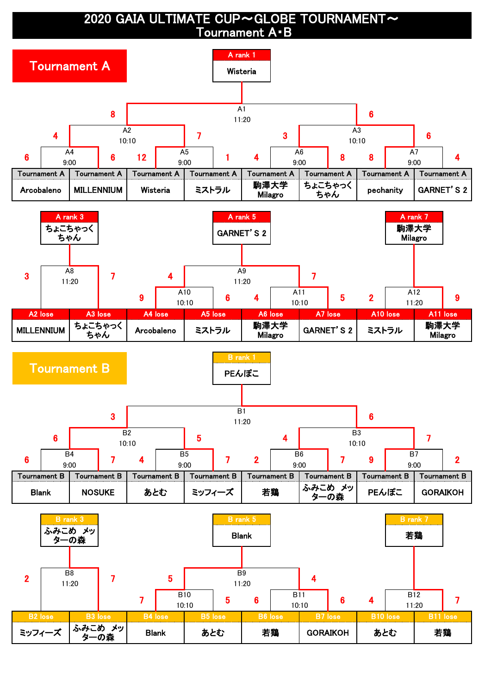2020 GAIA ULTIMATE CUP~GLOBE TOURNAMENT~ Tournament A・B

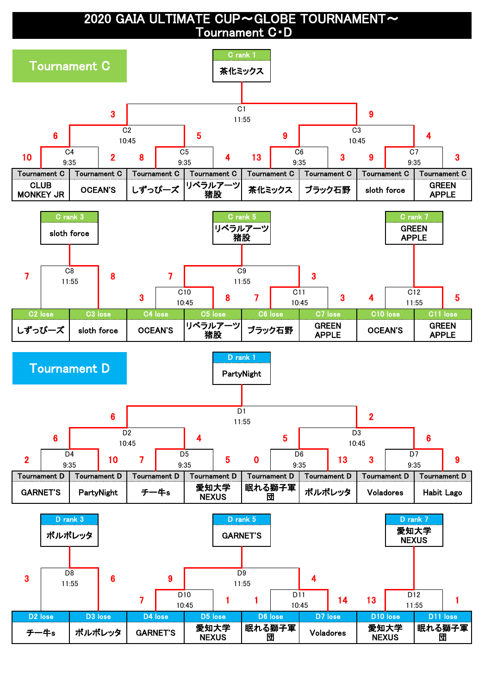2020 GAIA ULTIMATE CUP~GLOBE TOURNAMENT~ Tournament C・D

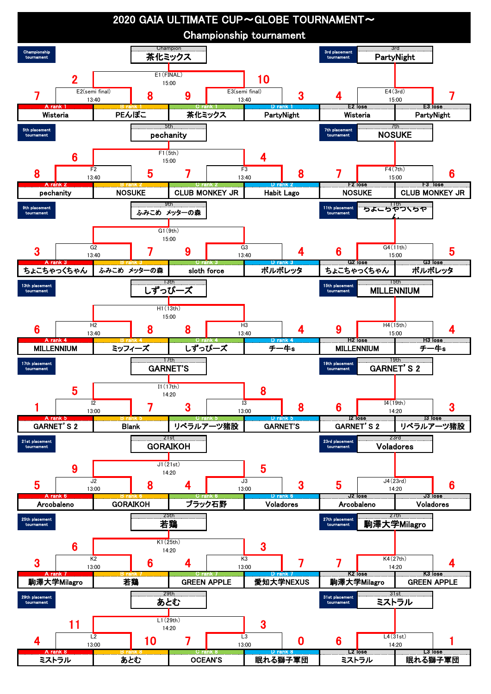